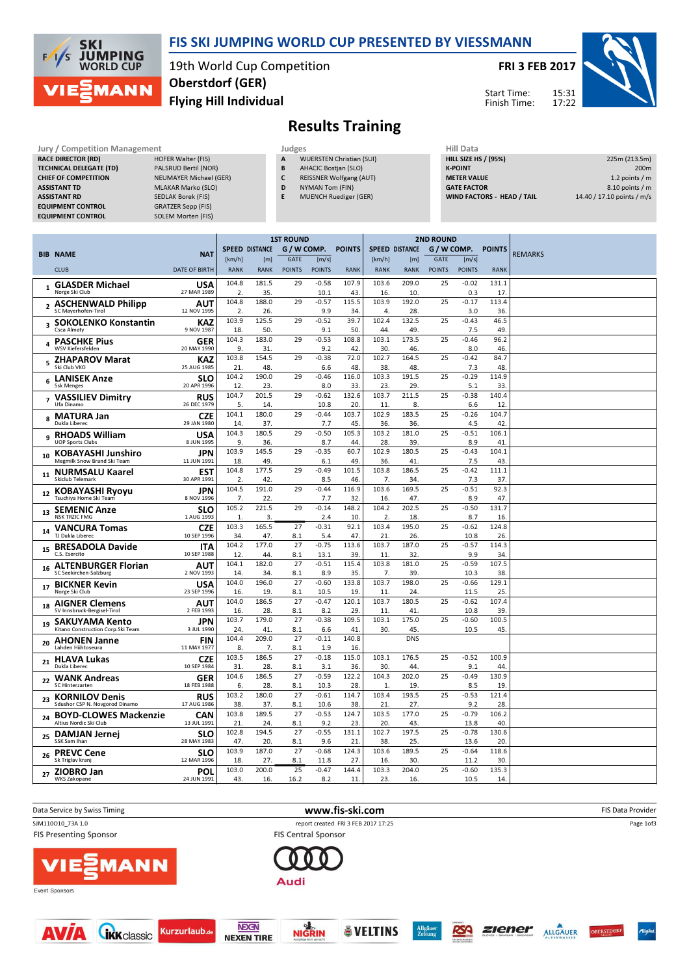

### FIS SKI JUMPING WORLD CUP PRESENTED BY VIESSMANN

19th World Cup Competition Flying Hill Individual Oberstdorf (GER)

FRI 3 FEB 2017

Start Time: Finish Time:



## Results Training

| Jury / Competition Management  |                               |              | Judges                          |                    |  |  |  |  |
|--------------------------------|-------------------------------|--------------|---------------------------------|--------------------|--|--|--|--|
| <b>RACE DIRECTOR (RD)</b>      | <b>HOFER Walter (FIS)</b>     | $\mathbf{A}$ | <b>WUERSTEN Christian (SUI)</b> | <b>HILL SIZE H</b> |  |  |  |  |
| <b>TECHNICAL DELEGATE (TD)</b> | PALSRUD Bertil (NOR)          | B            | <b>AHACIC Bostjan (SLO)</b>     | <b>K-POINT</b>     |  |  |  |  |
| <b>CHIEF OF COMPETITION</b>    | <b>NEUMAYER Michael (GER)</b> |              | <b>REISSNER Wolfgang (AUT)</b>  | <b>METER VAI</b>   |  |  |  |  |
| <b>ASSISTANT TD</b>            | <b>MLAKAR Marko (SLO)</b>     | D            | NYMAN Tom (FIN)                 | <b>GATE FACT</b>   |  |  |  |  |
| <b>ASSISTANT RD</b>            | SEDLAK Borek (FIS)            |              | <b>MUENCH Ruediger (GER)</b>    | <b>WIND FACT</b>   |  |  |  |  |
| <b>EQUIPMENT CONTROL</b>       | <b>GRATZER Sepp (FIS)</b>     |              |                                 |                    |  |  |  |  |
| <b>EQUIPMENT CONTROL</b>       | <b>SOLEM Morten (FIS)</b>     |              |                                 |                    |  |  |  |  |

| Hill Data                         |                            |
|-----------------------------------|----------------------------|
| <b>HILL SIZE HS / (95%)</b>       | 225m (213.5m)              |
| <b>K-POINT</b>                    | 200 <sub>m</sub>           |
| <b>METER VALUE</b>                | 1.2 points $/m$            |
| <b>GATE FACTOR</b>                | 8.10 points / m            |
| <b>WIND FACTORS - HEAD / TAIL</b> | 14.40 / 17.10 points / m/s |

**Ziener ALLGÄUER** 

**OBERSTDOR** 

RSA

|                |                                                            |                           | <b>1ST ROUND</b>      |                       |               |                 |               | <b>2ND ROUND</b>      |              |               |                 |               |                |
|----------------|------------------------------------------------------------|---------------------------|-----------------------|-----------------------|---------------|-----------------|---------------|-----------------------|--------------|---------------|-----------------|---------------|----------------|
|                |                                                            |                           |                       | <b>SPEED DISTANCE</b> | G / W COMP.   |                 | <b>POINTS</b> | <b>SPEED DISTANCE</b> |              | G / W COMP.   |                 | <b>POINTS</b> |                |
|                | <b>BIB NAME</b>                                            | <b>NAT</b>                | [km/h]                | [ <sub>m</sub> ]      | GATE          | [m/s]           |               | [km/h]                | [m]          | <b>GATE</b>   | [m/s]           |               | <b>REMARKS</b> |
|                | <b>CLUB</b>                                                | <b>DATE OF BIRTH</b>      | <b>RANK</b>           | <b>RANK</b>           | <b>POINTS</b> | <b>POINTS</b>   | <b>RANK</b>   | <b>RANK</b>           | <b>RANK</b>  | <b>POINTS</b> | <b>POINTS</b>   | <b>RANK</b>   |                |
| $\mathbf{1}$   | <b>GLASDER Michael</b><br>Norge Ski Club                   | <b>USA</b><br>27 MAR 1989 | 104.8<br>2            | 181.5<br>35.          | 29            | $-0.58$<br>10.1 | 107.9<br>43   | 103.6<br>16.          | 209.0<br>10. | 25            | $-0.02$<br>0.3  | 131.1<br>17   |                |
| $\overline{2}$ | <b>ASCHENWALD Philipp</b><br>SC Mayerhofen-Tirol           | AUT<br>12 NOV 1995        | 104.8<br>2.           | 188.0<br>26.          | 29            | $-0.57$<br>9.9  | 115.5<br>34   | 103.9<br>4.           | 192.0<br>28. | 25            | $-0.17$<br>3.0  | 113.4<br>36   |                |
| 3              | <b>SOKOLENKO Konstantin</b><br>Csca Almaty                 | KAZ<br>9 NOV 1987         | 103.9<br>18           | 125.5<br>50.          | 29            | $-0.52$<br>9.1  | 39.7<br>50    | 102.4<br>44.          | 132.5<br>49. | 25            | $-0.43$<br>7.5  | 46.5<br>49    |                |
|                | <b>PASCHKE Pius</b><br>WSV Kiefersfelden                   | <b>GER</b><br>20 MAY 1990 | 104.3<br>9.           | 183.0<br>31.          | 29            | $-0.53$<br>9.2  | 108.8<br>42   | 103.1<br>30.          | 173.5<br>46. | 25            | $-0.46$<br>8.0  | 96.2<br>46.   |                |
| 5              | <b>ZHAPAROV Marat</b><br>Ski Club VKO                      | <b>KAZ</b><br>25 AUG 1985 | 103.8<br>21           | 154.5<br>48.          | 29            | $-0.38$<br>6.6  | 72.0<br>48.   | 102.7<br>38.          | 164.5<br>48. | 25            | $-0.42$<br>7.3  | 84.7<br>48.   |                |
| 6              | <b>LANISEK Anze</b><br><b>Ssk Menges</b>                   | <b>SLO</b><br>20 APR 1996 | 104.2<br>12.          | 190.0<br>23.          | 29            | $-0.46$<br>8.0  | 116.0<br>33   | 103.3<br>23.          | 191.5<br>29. | 25            | $-0.29$<br>5.1  | 114.9<br>33.  |                |
| $\overline{7}$ | <b>VASSILIEV Dimitry</b><br>Ufa Dinamo                     | <b>RUS</b><br>26 DEC 1979 | 104.7<br>5.           | 201.5<br>14.          | 29            | $-0.62$<br>10.8 | 132.6<br>20   | 103.7<br>11.          | 211.5<br>8.  | 25            | $-0.38$<br>6.6  | 140.4<br>12   |                |
|                | <b>MATURA Jan</b><br>Dukla Liberec                         | <b>CZE</b><br>29 JAN 1980 | 104.1<br>14.          | 180.0<br>37.          | 29            | $-0.44$<br>7.7  | 103.7<br>45   | 102.9<br>36.          | 183.5<br>36. | 25            | $-0.26$<br>4.5  | 104.7<br>42   |                |
| 9              | <b>RHOADS William</b><br><b>UOP Sports Clubs</b>           | <b>USA</b><br>8 JUN 1995  | 104.3<br>9.           | 180.5                 | 29            | $-0.50$         | 105.3<br>44   | 103.2                 | 181.0        | 25            | $-0.51$         | 106.1<br>41   |                |
| 10             | <b>KOBAYASHI Junshiro</b><br>Megmilk Snow Brand Ski Team   | <b>JPN</b>                | 103.9                 | 36.<br>145.5          | 29            | 8.7<br>$-0.35$  | 60.7          | 28.<br>102.9          | 39.<br>180.5 | 25            | 8.9<br>$-0.43$  | 104.1         |                |
| 11             | <b>NURMSALU Kaarel</b>                                     | 11 JUN 1991<br><b>EST</b> | 18<br>104.8           | 49.<br>177.5          | 29            | 6.1<br>$-0.49$  | 49<br>101.5   | 36.<br>103.8          | 41<br>186.5  | 25            | 7.5<br>$-0.42$  | 43<br>111.1   |                |
| 12             | <b>Skiclub Telemark</b><br><b>KOBAYASHI Ryoyu</b>          | 30 APR 1991<br><b>JPN</b> | 2.<br>104.5           | 42.<br>191.0          | 29            | 8.5<br>$-0.44$  | 46.<br>116.9  | 7.<br>103.6           | 34.<br>169.5 | 25            | 7.3<br>$-0.51$  | 37<br>92.3    |                |
| 13             | Tsuchiya Home Ski Team<br><b>SEMENIC Anze</b>              | 8 NOV 1996<br><b>SLO</b>  | 7.<br>105.2           | 22.<br>221.5          | 29            | 7.7<br>$-0.14$  | 32<br>148.2   | 16.<br>104.2          | 47.<br>202.5 | 25            | 8.9<br>$-0.50$  | 47<br>131.7   |                |
| 14             | <b>NSK TRZIC FMG</b><br><b>VANCURA Tomas</b>               | 1 AUG 1993<br><b>CZE</b>  | $\mathbf{1}$<br>103.3 | 3.<br>165.5           | 27            | 2.4<br>$-0.31$  | 10.<br>92.1   | 2.<br>103.4           | 18.<br>195.0 | 25            | 8.7<br>$-0.62$  | 16.<br>124.8  |                |
| 15             | TJ Dukla Liberec<br><b>BRESADOLA Davide</b>                | 10 SEP 1996<br><b>ITA</b> | 34.<br>104.2          | 47.<br>177.0          | 8.1<br>27     | 5.4<br>$-0.75$  | 47<br>113.6   | 21<br>103.7           | 26.<br>187.0 | 25            | 10.8<br>$-0.57$ | 26<br>114.3   |                |
| 16             | C.S. Esercito<br><b>ALTENBURGER Florian</b>                | 10 SEP 1988<br><b>AUT</b> | 12.<br>104.1          | 44.<br>182.0          | 8.1<br>27     | 13.1<br>$-0.51$ | 39<br>115.4   | 11.<br>103.8          | 32.<br>181.0 | 25            | 9.9<br>$-0.59$  | 34<br>107.5   |                |
|                | SC Seekirchen-Salzburg                                     | 2 NOV 1993                | 14.<br>104.0          | 34.<br>196.0          | 8.1<br>27     | 8.9<br>$-0.60$  | 35<br>133.8   | 7.<br>103.7           | 39.<br>198.0 | 25            | 10.3<br>$-0.66$ | 38<br>129.1   |                |
| 17             | <b>BICKNER Kevin</b><br>Norge Ski Club                     | <b>USA</b><br>23 SEP 1996 | 16.                   | 19.                   | 8.1           | 10.5            | 19            | 11.                   | 24.          |               | 11.5            | 25            |                |
| 18             | <b>AIGNER Clemens</b><br>SV Innsbruck-Bergisel-Tirol       | <b>AUT</b><br>2 FEB 1993  | 104.0<br>16.          | 186.5<br>28.          | 27<br>8.1     | $-0.47$<br>8.2  | 120.1<br>29   | 103.7<br>11.          | 180.5<br>41  | 25            | $-0.62$<br>10.8 | 107.4<br>39   |                |
| 19             | <b>SAKUYAMA Kento</b><br>Kitano Construction Corp.Ski Team | JPN<br>3 JUL 1990         | 103.7<br>24.          | 179.0<br>41.          | 27<br>8.1     | $-0.38$<br>6.6  | 109.5<br>41   | 103.1<br>30.          | 175.0<br>45. | 25            | $-0.60$<br>10.5 | 100.5<br>45   |                |
| 20             | <b>AHONEN Janne</b><br>Lahden Hiihtoseura                  | <b>FIN</b><br>11 MAY 1977 | 104.4<br>8.           | 209.0<br>7.           | 27<br>8.1     | $-0.11$<br>1.9  | 140.8<br>16   |                       | <b>DNS</b>   |               |                 |               |                |
| 21             | <b>HLAVA Lukas</b><br>Dukla Liberec                        | <b>CZE</b><br>10 SEP 1984 | 103.5<br>31           | 186.5<br>28.          | 27<br>8.1     | $-0.18$<br>3.1  | 115.0<br>36   | 103.1<br>30.          | 176.5<br>44. | 25            | $-0.52$<br>9.1  | 100.9<br>44   |                |
| 22             | <b>WANK Andreas</b><br>SC Hinterzarten                     | <b>GER</b><br>18 FEB 1988 | 104.6<br>6.           | 186.5<br>28.          | 27<br>8.1     | $-0.59$<br>10.3 | 122.2<br>28   | 104.3<br>1.           | 202.0<br>19. | 25            | $-0.49$<br>8.5  | 130.9<br>19   |                |
| 23             | <b>KORNILOV Denis</b><br>Sdushor CSP N. Novgorod Dinamo    | <b>RUS</b><br>17 AUG 1986 | 103.2<br>38.          | 180.0<br>37.          | 27<br>8.1     | $-0.61$<br>10.6 | 114.7<br>38.  | 103.4<br>21.          | 193.5<br>27. | 25            | $-0.53$<br>9.2  | 121.4<br>28   |                |
|                | 24 BOYD-CLOWES Mackenzie<br>Altius Nordic Ski Club         | <b>CAN</b><br>13 JUL 1991 | 103.8<br>21           | 189.5<br>24.          | 27<br>8.1     | $-0.53$<br>9.2  | 124.7<br>23   | 103.5<br>20.          | 177.0<br>43. | 25            | $-0.79$<br>13.8 | 106.2<br>40   |                |
| 25             | <b>DAMJAN Jernej</b><br>SSK Sam Ihan                       | <b>SLO</b><br>28 MAY 1983 | 102.8<br>47.          | 194.5<br>20.          | 27<br>8.1     | $-0.55$<br>9.6  | 131.1<br>21   | 102.7<br>38.          | 197.5<br>25. | 25            | $-0.78$<br>13.6 | 130.6<br>20   |                |
| 26             | <b>PREVC Cene</b><br>Sk Triglav kranj                      | <b>SLO</b><br>12 MAR 1996 | 103.9<br>18           | 187.0<br>27.          | 27<br>8.1     | $-0.68$<br>11.8 | 124.3<br>27   | 103.6<br>16.          | 189.5<br>30. | 25            | $-0.64$<br>11.2 | 118.6<br>30   |                |
| 27             | ZIOBRO Jan<br><b>WKS Zakopane</b>                          | POL<br>24 JUN 1991        | 103.0<br>43.          | 200.0<br>16.          | 25<br>16.2    | $-0.47$<br>8.2  | 144.4<br>11.  | 103.3<br>23.          | 204.0<br>16. | 25            | $-0.60$<br>10.5 | 135.3<br>14   |                |
|                |                                                            |                           |                       |                       |               |                 |               |                       |              |               |                 |               |                |



**ÖVELTINS** 

**NIGRIN** 

**IEXEN** 

**NEXEN TIRE** 

**GRK** classic

**AVÍA** 

Kurzurlaub.de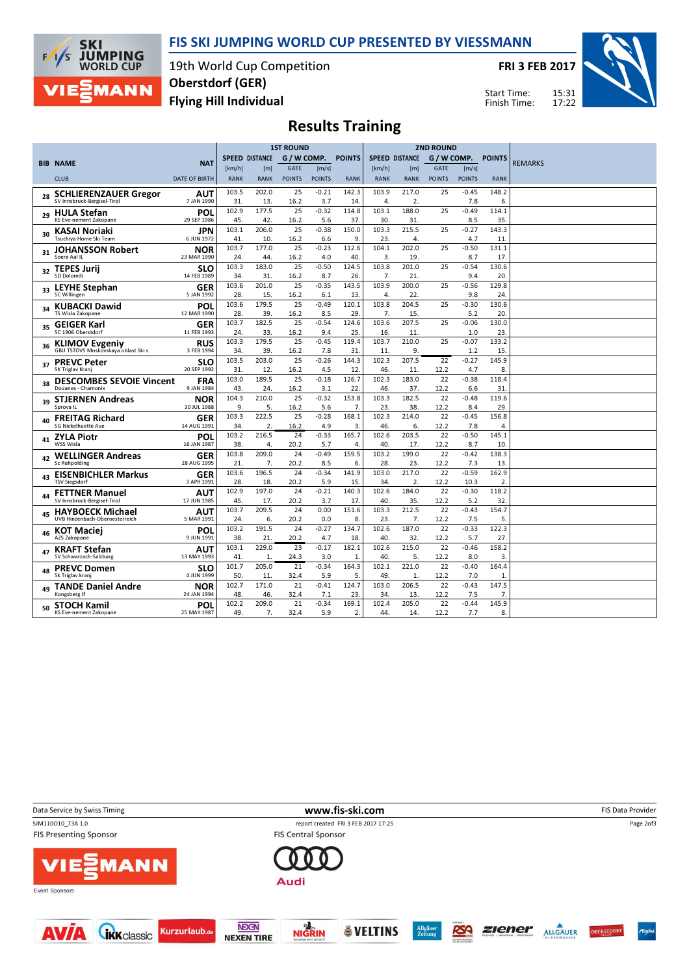

#### FIS SKI JUMPING WORLD CUP PRESENTED BY VIESSMANN

19th World Cup Competition Flying Hill Individual Oberstdorf (GER)

FRI 3 FEB 2017



15:31 17:22 Start Time: Finish Time:

# Results Training

|    |                                                       |                          | <b>1ST ROUND</b> |                       |               | <b>2ND ROUND</b> |                |                       |              |               |                |                       |                |
|----|-------------------------------------------------------|--------------------------|------------------|-----------------------|---------------|------------------|----------------|-----------------------|--------------|---------------|----------------|-----------------------|----------------|
|    |                                                       |                          |                  | <b>SPEED DISTANCE</b> | G / W COMP.   |                  | <b>POINTS</b>  | <b>SPEED DISTANCE</b> |              | G / W COMP.   |                | <b>POINTS</b>         |                |
|    | <b>BIB NAME</b>                                       | <b>NAT</b>               | [km/h]           | [m]                   | <b>GATE</b>   | [m/s]            |                | [km/h]                | [m]          | <b>GATE</b>   | [m/s]          |                       | <b>REMARKS</b> |
|    | <b>CLUB</b>                                           | DATE OF BIRTH            | <b>RANK</b>      | <b>RANK</b>           | <b>POINTS</b> | <b>POINTS</b>    | <b>RANK</b>    | <b>RANK</b>           | <b>RANK</b>  | <b>POINTS</b> | <b>POINTS</b>  | <b>RANK</b>           |                |
|    | <b>SCHLIERENZAUER Gregor</b>                          | AUT                      | 103.5            | 202.0                 | 25            | $-0.21$          | 142.3          | 103.9                 | 217.0        | 25            | $-0.45$        | 148.2                 |                |
| 28 | SV Innsbruck-Bergisel-Tirol                           | 7 JAN 1990               | 31               | 13.                   | 16.2          | 3.7              | 14             | 4.                    | 2.           |               | 7.8            | 6.                    |                |
| 29 | <b>HULA Stefan</b>                                    | POL                      | 102.9            | 177.5                 | 25            | $-0.32$          | 114.8          | 103.1                 | 188.0        | 25            | $-0.49$        | 114.1                 |                |
|    | KS Eve-nement Zakopane                                | 29 SEP 1986              | 45               | 42.                   | 16.2          | 5.6              | 37             | 30.                   | 31.          |               | 8.5            | 35.                   |                |
| 30 | KASAI Noriaki<br>Tsuchiya Home Ski Team               | JPN<br>6 JUN 1972        | 103.1            | 206.0                 | 25            | $-0.38$          | 150.0<br>9     | 103.3                 | 215.5        | 25            | $-0.27$<br>4.7 | 143.3                 |                |
|    |                                                       |                          | 41<br>103.7      | 10.<br>177.0          | 16.2<br>25    | 6.6<br>$-0.23$   | 112.6          | 23.<br>104.1          | 4.<br>202.0  | 25            | $-0.50$        | 11<br>131.1           |                |
| 31 | <b>JOHANSSON Robert</b><br>Soere Aal IL               | NOR<br>23 MAR 1990       | 24.              | 44.                   | 16.2          | 4.0              | 40             | 3.                    | 19.          |               | 8.7            | 17.                   |                |
|    | <b>TEPES Jurij</b>                                    | SLO                      | 103.3            | 183.0                 | 25            | $-0.50$          | 124.5          | 103.8                 | 201.0        | 25            | $-0.54$        | 130.6                 |                |
| 32 | <b>SD Dolomiti</b>                                    | 14 FEB 1989              | 34.              | 31.                   | 16.2          | 8.7              | 26             | 7.                    | 21.          |               | 9.4            | 20.                   |                |
| 33 | <b>LEYHE Stephan</b>                                  | <b>GER</b>               | 103.6            | 201.0                 | 25            | $-0.35$          | 143.5          | 103.9                 | 200.0        | 25            | $-0.56$        | 129.8                 |                |
|    | <b>SC Willingen</b>                                   | 5 JAN 1992               | 28.              | 15.                   | 16.2          | 6.1              | 13             | 4.                    | 22.          |               | 9.8            | 24.                   |                |
| 34 | <b>KUBACKI Dawid</b>                                  | POL                      | 103.6            | 179.5                 | 25            | $-0.49$          | 120.1          | 103.8                 | 204.5        | 25            | $-0.30$        | 130.6                 |                |
|    | TS Wisla Zakopane                                     | 12 MAR 1990              | 28               | 39.                   | 16.2          | 8.5              | 29             | 7.                    | 15.          |               | 5.2            | 20.                   |                |
| 35 | <b>GEIGER Karl</b>                                    | GER                      | 103.7            | 182.5                 | 25            | $-0.54$          | 124.6          | 103.6                 | 207.5        | 25            | $-0.06$        | 130.0                 |                |
|    | SC 1906 Oberstdorf                                    | 11 FEB 1993              | 24.              | 33.                   | 16.2          | 9.4              | 25             | 16.                   | 11.          |               | 1.0            | 23                    |                |
| 36 | <b>KLIMOV Evgeniy</b>                                 | <b>RUS</b>               | 103.3            | 179.5                 | 25            | $-0.45$          | 119.4          | 103.7                 | 210.0        | 25            | $-0.07$        | 133.2                 |                |
|    | GBU TSTOVS Moskovskaya oblast Ski s                   | 3 FEB 1994               | 34.              | 39.                   | 16.2          | 7.8              | 31             | 11.                   | 9.           |               | 1.2            | 15.                   |                |
| 37 | <b>PREVC Peter</b>                                    | SLO                      | 103.5            | 203.0                 | 25            | $-0.26$          | 144.3          | 102.3                 | 207.5        | 22            | $-0.27$        | 145.9                 |                |
|    | SK Triglav Krani                                      | 20 SEP 1992              | 31               | 12.                   | 16.2          | 4.5              | 12             | 46.                   | 11.          | 12.2          | 4.7            | 8.                    |                |
| 38 | <b>DESCOMBES SEVOIE Vincent</b><br>Douanes - Chamonix | <b>FRA</b><br>9 JAN 1984 | 103.0            | 189.5                 | 25            | $-0.18$          | 126.7          | 102.3                 | 183.0        | 22            | $-0.38$        | 118.4                 |                |
|    |                                                       |                          | 43<br>104.3      | 24.<br>210.0          | 16.2<br>25    | 3.1<br>$-0.32$   | 22<br>153.8    | 46.<br>103.3          | 37.<br>182.5 | 12.2<br>22    | 6.6<br>$-0.48$ | 31<br>119.6           |                |
| 39 | <b>STJERNEN Andreas</b><br>Sprova <sub>IL</sub>       | NOR<br>30 JUL 1988       | 9.               | 5.                    | 16.2          | 5.6              | 7 <sub>1</sub> | 23.                   | 38.          | 12.2          | 8.4            | 29.                   |                |
|    |                                                       |                          | 103.3            | 222.5                 | 25            | $-0.28$          | 168.1          | 102.3                 | 214.0        | 22            | $-0.45$        | 156.8                 |                |
|    | <b>FREITAG Richard</b><br><b>SG Nickelhuette Aue</b>  | GER<br>14 AUG 1991       | 34.              | 2.                    | 16.2          | 4.9              | 3.             | 46.                   | 6.           | 12.2          | 7.8            | 4.                    |                |
|    | <b>ZYLA Piotr</b>                                     | POL                      | 103.2            | 216.5                 | 24            | $-0.33$          | 165.7          | 102.6                 | 203.5        | 22            | $-0.50$        | 145.1                 |                |
| 41 | <b>WSS Wisla</b>                                      | 16 JAN 1987              | 38.              | 4.                    | 20.2          | 5.7              | $\overline{4}$ | 40.                   | 17.          | 12.2          | 8.7            | 10.                   |                |
|    | <b>WELLINGER Andreas</b>                              | GER                      | 103.8            | 209.0                 | 24            | $-0.49$          | 159.5          | 103.2                 | 199.0        | 22            | $-0.42$        | 138.3                 |                |
| 42 | <b>Sc Ruhpolding</b>                                  | 28 AUG 1995              | 21.              | 7.                    | 20.2          | 8.5              | 6.             | 28.                   | 23.          | 12.2          | 7.3            | 13.                   |                |
|    | <b>EISENBICHLER Markus</b>                            | GER                      | 103.6            | 196.5                 | 24            | $-0.34$          | 141.9          | 103.0                 | 217.0        | 22            | $-0.59$        | 162.9                 |                |
| 43 | <b>TSV Siegsdorf</b>                                  | 3 APR 1991               | 28.              | 18.                   | 20.2          | 5.9              | 15             | 34.                   | 2.           | 12.2          | 10.3           | 2.                    |                |
| 44 | <b>FETTNER Manuel</b>                                 | AUT                      | 102.9            | 197.0                 | 24            | $-0.21$          | 140.3          | 102.6                 | 184.0        | 22            | $-0.30$        | 118.2                 |                |
|    | SV Innsbruck-Bergisel-Tirol                           | 17 JUN 1985              | 45.              | 17.                   | 20.2          | 3.7              | 17             | 40.                   | 35.          | 12.2          | 5.2            | 32.                   |                |
| 45 | <b>HAYBOECK Michael</b>                               | AUT                      | 103.7            | 209.5                 | 24            | 0.00             | 151.6          | 103.3                 | 212.5        | 22            | $-0.43$        | 154.7                 |                |
|    | UVB Hinzenbach-Oberoesterreich                        | 5 MAR 1991               | 24.              | 6.                    | 20.2          | 0.0              | 8.             | 23.                   | 7.           | 12.2          | 7.5            | 5.                    |                |
|    | <sub>46</sub> KOT Maciej                              | POL                      | 103.2            | 191.5                 | 24            | $-0.27$          | 134.7          | 102.6                 | 187.0        | 22            | $-0.33$        | 122.3                 |                |
|    | AZS Zakopane                                          | 9 JUN 1991               | 38.              | 21.                   | 20.2          | 4.7              | 18             | 40.                   | 32.          | 12.2          | 5.7            | 27.                   |                |
| 47 | <b>KRAFT Stefan</b>                                   | AUT                      | 103.1            | 229.0                 | 23            | $-0.17$          | 182.1          | 102.6                 | 215.0        | 22            | $-0.46$        | 158.2                 |                |
|    | SV Schwarzach-Salzburg                                | 13 MAY 1993              | 41.<br>101.7     | 1.                    | 24.3<br>21    | 3.0              | 1              | 40.                   | 5.           | 12.2          | 8.0            | 3.                    |                |
| 48 | <b>PREVC Domen</b><br>Sk Triglav kranj                | SLO<br>4 JUN 1999        | 50.              | 205.0<br>11.          | 32.4          | $-0.34$<br>5.9   | 164.3<br>5.    | 102.1<br>49.          | 221.0<br>1.  | 22<br>12.2    | $-0.40$<br>7.0 | 164.4<br>$\mathbf{1}$ |                |
|    |                                                       |                          | 102.7            | 171.0                 | 21            | $-0.41$          | 124.7          | 103.0                 | 206.5        | 22            | $-0.43$        | 147.5                 |                |
| 49 | <b>TANDE Daniel Andre</b><br>Kongsberg If             | NOR<br>24 JAN 1994       | 48               | 46.                   | 32.4          | 7.1              | 23             | 34.                   | 13.          | 12.2          | 7.5            | 7.                    |                |
|    | <b>STOCH Kamil</b>                                    | POL                      | 102.2            | 209.0                 | 21            | $-0.34$          | 169.1          | 102.4                 | 205.0        | 22            | $-0.44$        | 145.9                 |                |
|    | KS Eve-nement Zakopane                                | 25 MAY 1987              | 49               | 7.                    | 32.4          | 5.9              | 2.             | 44.                   | 14.          | 12.2          | 7.7            | 8.                    |                |